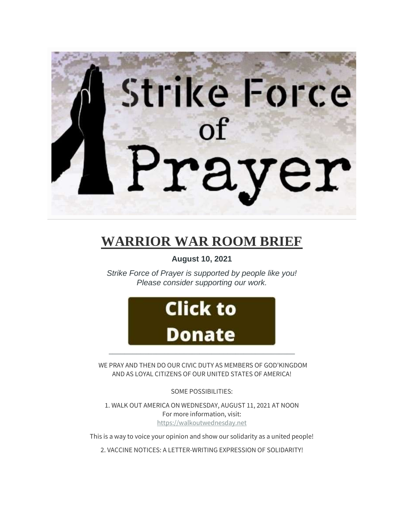

# **WARRIOR WAR ROOM BRIEF**

**August 10, 2021**

*Strike Force of Prayer is supported by people like you! Please consider supporting our work.*



WE PRAY AND THEN DO OUR CIVIC DUTY AS MEMBERS OF GOD'KINGDOM AND AS LOYAL CITIZENS OF OUR UNITED STATES OF AMERICA!

SOME POSSIBILITIES:

1. WALK OUT AMERICA ON WEDNESDAY, AUGUST 11, 2021 AT NOON For more information, visit: [https://walkoutwednesday.net](https://walkoutwednesday.net/)

This is a way to voice your opinion and show our solidarity as a united people!

2. VACCINE NOTICES: A LETTER-WRITING EXPRESSION OF SOLIDARITY!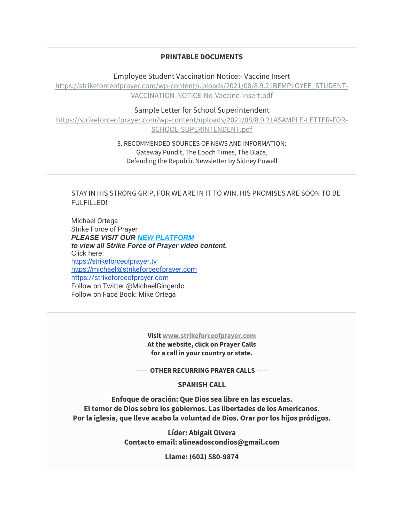# **PRINTABLE DOCUMENTS**

Employee Student Vaccination Notice:- Vaccine Insert

[https://strikeforceofprayer.com/wp-content/uploads/2021/08/8.9.21BEMPLOYEE\\_STUDENT-](https://strikeforceofprayer.com/wp-content/uploads/2021/08/8.9.21BEMPLOYEE_STUDENT-VACCINATION-NOTICE-No-Vaccine-Insert.pdf)[VACCINATION-NOTICE-No-Vaccine-Insert.pdf](https://strikeforceofprayer.com/wp-content/uploads/2021/08/8.9.21BEMPLOYEE_STUDENT-VACCINATION-NOTICE-No-Vaccine-Insert.pdf)

Sample Letter for School Superintendent

[https://strikeforceofprayer.com/wp-content/uploads/2021/08/8.9.21ASAMPLE-LETTER-FOR-](https://strikeforceofprayer.com/wp-content/uploads/2021/08/8.9.21ASAMPLE-LETTER-FOR-SCHOOL-SUPERINTENDENT.pdf)[SCHOOL-SUPERINTENDENT.pdf](https://strikeforceofprayer.com/wp-content/uploads/2021/08/8.9.21ASAMPLE-LETTER-FOR-SCHOOL-SUPERINTENDENT.pdf)

> 3. RECOMMENDED SOURCES OF NEWS AND INFORMATION: Gateway Pundit, The Epoch Times, The Blaze, Defending the Republic Newsletter by Sidney Powell

STAY IN HIS STRONG GRIP, FOR WE ARE IN IT TO WIN. HIS PROMISES ARE SOON TO BE FULFILLED!

Michael Ortega Strike Force of Prayer *PLEASE VISIT OUR [NEW PLATFORM](http://mailing.strikeforceofprayer.com/lt.php?tid=Kk5XVVoEBQRSAk9XAQQESwYAVQdOVlYDABUPAVBaBQFVClcCUFVMUlAHW1MFBFZLAgVSAk4AAA4EFQBeV1RMVgAAU18DUQACUAIDTVJUB14LAAZVTgQGUgMVDAFWAUwIVFNTS1UFVVFQAQAAXVYCAg) to view all Strike Force of Prayer video content.* Click here: [https://strikeforceofprayer.tv](https://strikeforceofprayer.tv/) [https://](https://michael@strikeforceofprayer.com/)[michael@strikeforceofprayer.com](http://mailing.strikeforceofprayer.com/lt.php?tid=Kk5QV1RWUQxUAE8DXQICSwYGVF1OVlNUURUODAsGVQgGCwIEAw1MUlAHW1MFBFZLAgVSAk4AAA4EFQBeV1RMVgAAU18DUQACUAIDTVJUB14LAAZVTgQGUgMVDAFWAUwIVFNTS1UFVVFQAQAAXVYCAg) [https://strikeforceofprayer.com](https://strikeforceofprayer.us17.list-manage.com/track/click?u=30e1fdc9ef72d2ad852be26e9&id=88763f3751&e=cf8e0c7e26) Follow on Twitter @MichaelGingerdo Follow on Face Book: Mike Ortega

> **Visit [www.strikeforceofprayer.com](http://mailing.strikeforceofprayer.com/lt.php?tid=Kk4CUlNVUwJVVE8CVwMMSwZRW1ZODFJTCBVZDQEHBwgHBlUDBlVMDVcEWgRSAABLVwwEBk4AUwUAFVoJAwZMCQcEAFIHA1NSUlJXTVJUB14LAAZVTgQGUgMVDAFWAUwIVFNTS1UFVVFQAQAAXVYCAg) At the website, click on Prayer Calls for a call in your country or state.**

**----- OTHER RECURRING PRAYER CALLS -----**

# **SPANISH CALL**

**Enfoque de oración: Que Dios sea libre en las escuelas. El temor de Dios sobre los gobiernos. Las libertades de los Americanos. Por la iglesia, que lleve acabo la voluntad de Dios. Orar por los hijos pródigos.**

> **Líder: Abigail Olvera Contacto email: alineadoscondios@gmail.com**

> > **Llame: (602) 580-9874**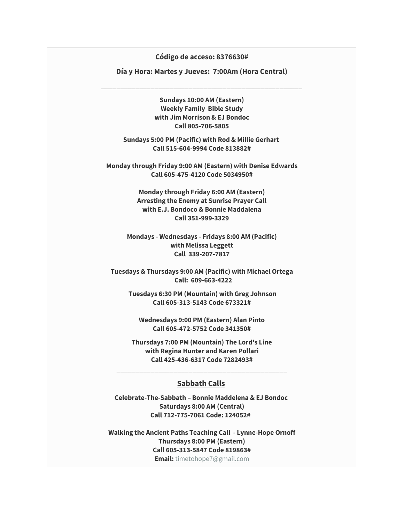## **Código de acceso: 8376630#**

**Día y Hora: Martes y Jueves: 7:00Am (Hora Central)**

\_\_\_\_\_\_\_\_\_\_\_\_\_\_\_\_\_\_\_\_\_\_\_\_\_\_\_\_\_\_\_\_\_\_\_\_\_\_\_\_\_\_\_\_\_\_\_\_\_\_\_\_\_

**Sundays 10:00 AM (Eastern) Weekly Family Bible Study with Jim Morrison & EJ Bondoc Call 805-706-5805**

**Sundays 5:00 PM (Pacific) with Rod & Millie Gerhart Call 515-604-9994 Code 813882#**

**Monday through Friday 9:00 AM (Eastern) with Denise Edwards Call 605-475-4120 Code 5034950#**

> **Monday through Friday 6:00 AM (Eastern) Arresting the Enemy at Sunrise Prayer Call with E.J. Bondoco & Bonnie Maddalena Call 351-999-3329**

**Mondays - Wednesdays - Fridays 8:00 AM (Pacific) with Melissa Leggett Call 339-207-7817**

**Tuesdays & Thursdays 9:00 AM (Pacific) with Michael Ortega Call: 609-663-4222**

**Tuesdays 6:30 PM (Mountain) with Greg Johnson Call 605-313-5143 Code 673321#**

**Wednesdays 9:00 PM (Eastern) Alan Pinto Call 605-472-5752 Code 341350#**

**Thursdays 7:00 PM (Mountain) The Lord's Line with Regina Hunter and Karen Pollari Call 425-436-6317 Code 7282493#**

## **Sabbath Calls**

\_\_\_\_\_\_\_\_\_\_\_\_\_\_\_\_\_\_\_\_\_\_\_\_\_\_\_\_\_\_\_\_\_\_\_\_\_\_\_\_\_\_\_\_\_

**Celebrate-The-Sabbath – Bonnie Maddelena & EJ Bondoc Saturdays 8:00 AM (Central) Call 712-775-7061 Code: 124052#** 

**Walking the Ancient Paths Teaching Call - Lynne-Hope Ornoff Thursdays 8:00 PM (Eastern) Call 605-313-5847 Code 819863# Email:** [timetohope7@gmail.com](mailto:timetohope7@gmail.com)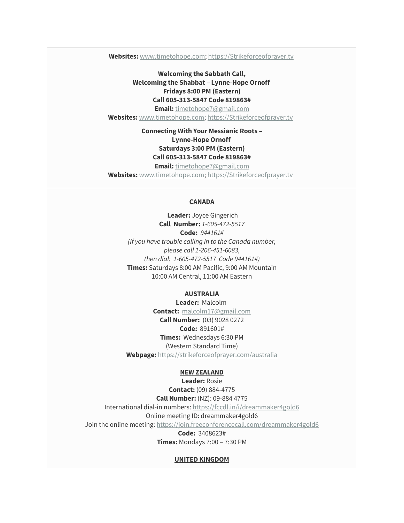**Websites:** [www.timetohope.com;](http://www.timetohope.com/) [https://Strikeforceofprayer.tv](https://strikeforceofprayer.tv/)

**Welcoming the Sabbath Call, Welcoming the Shabbat – Lynne-Hope Ornoff Fridays 8:00 PM (Eastern) Call 605-313-5847 Code 819863# Email:** [timetohope7@gmail.com](mailto:timetohope7@gmail.com) **Websites:** [www.timetohope.com;](http://www.timetohope.com/) [https://Strikeforceofprayer.tv](https://strikeforceofprayer.tv/)

# **Connecting With Your Messianic Roots – Lynne-Hope Ornoff Saturdays 3:00 PM (Eastern) Call 605-313-5847 Code 819863#**

**Email:** [timetohope7@gmail.com](mailto:timetohope7@gmail.com)

**Websites:** [www.timetohope.com;](http://www.timetohope.com/) [https://Strikeforceofprayer.tv](https://strikeforceofprayer.tv/)

#### **CANADA**

**Leader:** Joyce Gingerich **Call Number:** *1-605-472-5517* **Code:** *944161# (If you have trouble calling in to the Canada number, please call 1-206-451-6083, then dial: 1-605-472-5517 Code 944161#)* **Times:** Saturdays 8:00 AM Pacific, 9:00 AM Mountain 10:00 AM Central, 11:00 AM Eastern

## **AUSTRALIA**

**Leader:** Malcolm **Contact:** [malcolm17@gmail.com](mailto:malcolm17@gmail.com) **Call Number:** (03) 9028 0272 **Code:** 891601# **Times:** Wednesdays 6:30 PM (Western Standard Time) **Webpage:** <https://strikeforceofprayer.com/australia>

#### **NEW ZEALAND**

**Leader:** Rosie **Contact:** (09) 884-4775 **Call Number:** (NZ): 09-884 4775 International dial-in numbers: <https://fccdl.in/i/dreammaker4gold6> Online meeting ID: dreammaker4gold6 Join the online meeting: <https://join.freeconferencecall.com/dreammaker4gold6> **Code:** 3408623#

**Times:** Mondays 7:00 – 7:30 PM

#### **UNITED KINGDOM**